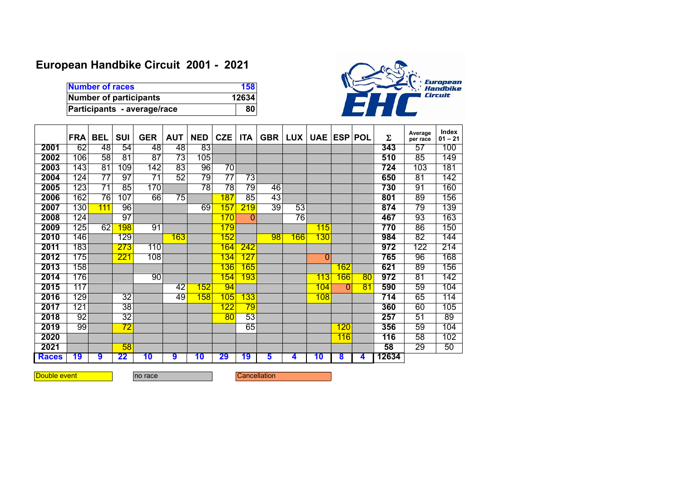## **European Handbike Circuit 2001 - 2021**

| Number of races             | 158   |
|-----------------------------|-------|
| Number of participants      | 12634 |
| Participants - average/race | 80    |



|              | <b>FRA</b>       | <b>BEL</b>      | <b>SUI</b>       | <b>GER</b>       | <b>AUT</b>      | <b>NED</b>      | <b>CZE</b>                 | <b>ITA</b>      | <b>GBR</b>      | LUX             | UAE ESP POL     |          |                 | Σ     | Average<br>per race | Index<br>$01 - 21$ |
|--------------|------------------|-----------------|------------------|------------------|-----------------|-----------------|----------------------------|-----------------|-----------------|-----------------|-----------------|----------|-----------------|-------|---------------------|--------------------|
| 2001         | 62               | 48              | 54               | 48               | 48              | 83              |                            |                 |                 |                 |                 |          |                 | 343   | $\overline{57}$     | 100                |
| 2002         | 106              | $\overline{58}$ | $\overline{81}$  | $\overline{87}$  | 73              | 105             |                            |                 |                 |                 |                 |          |                 | 510   | 85                  | 149                |
| 2003         | 143              | 81              | 109              | $\overline{142}$ | 83              | 96              | $\overline{70}$            |                 |                 |                 |                 |          |                 | 724   | 103                 | 181                |
| 2004         | 124              | 77              | 97               | 71               | $\overline{52}$ | 79              | $\overline{7}\overline{7}$ | 73              |                 |                 |                 |          |                 | 650   | 81                  | 142                |
| 2005         | $\overline{123}$ | $\overline{71}$ | $\overline{85}$  | 170              |                 | $\overline{78}$ | $\overline{78}$            | $\overline{79}$ | 46              |                 |                 |          |                 | 730   | $\overline{91}$     | 160                |
| 2006         | 162              | $\overline{76}$ | 107              | 66               | $\overline{75}$ |                 | 187                        | $\overline{85}$ | 43              |                 |                 |          |                 | 801   | 89                  | 156                |
| 2007         | 130              | 111             | 96               |                  |                 | 69              | 157                        | 219             | $\overline{39}$ | $\overline{53}$ |                 |          |                 | 874   | 79                  | 139                |
| 2008         | 124              |                 | $\overline{97}$  |                  |                 |                 | 170                        | $\mathbf{0}$    |                 | $\overline{76}$ |                 |          |                 | 467   | 93                  | 163                |
| 2009         | 125              | 62              | <b>198</b>       | $\overline{91}$  |                 |                 | 179                        |                 |                 |                 | 115             |          |                 | 770   | $\overline{86}$     | 150                |
| 2010         | 146              |                 | 129              |                  | 163             |                 | 152                        |                 | $\overline{98}$ | 166             | 130             |          |                 | 984   | 82                  | 144                |
| 2011         | 183              |                 | 273              | 110              |                 |                 | 164                        | 242             |                 |                 |                 |          |                 | 972   | 122                 | 214                |
| 2012         | 175              |                 | $\overline{221}$ | 108              |                 |                 | 134                        | <u>127</u>      |                 |                 | $\overline{0}$  |          |                 | 765   | 96                  | 168                |
| 2013         | 158              |                 |                  |                  |                 |                 | 136                        | 165             |                 |                 |                 | 162      |                 | 621   | 89                  | 156                |
| 2014         | 176              |                 |                  | 90               |                 |                 | 154                        | 193             |                 |                 | 113             | 166      | 80              | 972   | $\overline{81}$     | 142                |
| 2015         | 117              |                 |                  |                  | 42              | 152             | 94                         |                 |                 |                 | 104             | $\Omega$ | $\overline{81}$ | 590   | 59                  | 104                |
| 2016         | 129              |                 | $\overline{32}$  |                  | 49              | 158             | 105                        | 133             |                 |                 | 108             |          |                 | 714   | 65                  | 114                |
| 2017         | 121              |                 | $\overline{38}$  |                  |                 |                 | 122                        | $\overline{79}$ |                 |                 |                 |          |                 | 360   | 60                  | 105                |
| 2018         | $\overline{92}$  |                 | $\overline{32}$  |                  |                 |                 | 80                         | 53              |                 |                 |                 |          |                 | 257   | $\overline{51}$     | $\overline{89}$    |
| 2019         | $\overline{99}$  |                 | $\overline{72}$  |                  |                 |                 |                            | 65              |                 |                 |                 | 120      |                 | 356   | 59                  | 104                |
| 2020         |                  |                 |                  |                  |                 |                 |                            |                 |                 |                 |                 | 116      |                 | 116   | 58                  | 102                |
| 2021         |                  |                 | 58               |                  |                 |                 |                            |                 |                 |                 |                 |          |                 | 58    | $\overline{29}$     | 50                 |
| <b>Races</b> | 19               | $\overline{9}$  | 22               | $\overline{10}$  | 9               | 10              | 29                         | 19              | 5               | 4               | $\overline{10}$ | 8        | 4               | 12634 |                     |                    |

**Double event no race** Cancellation